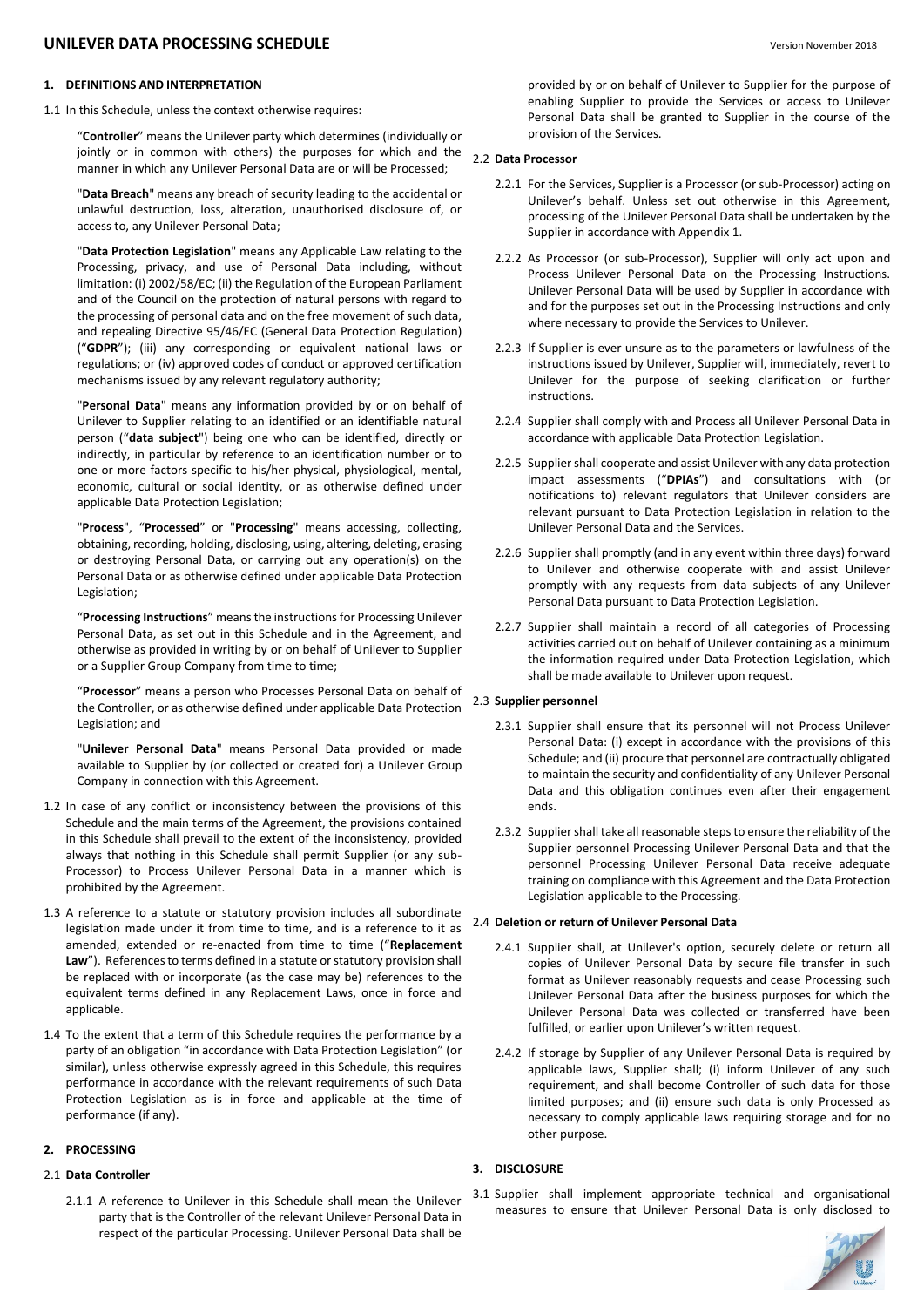# **UNILEVER DATA PROCESSING SCHEDULE** Version November <sup>2018</sup>

## **1. DEFINITIONS AND INTERPRETATION**

1.1 In this Schedule, unless the context otherwise requires:

"**Controller**" means the Unilever party which determines (individually or jointly or in common with others) the purposes for which and the manner in which any Unilever Personal Data are or will be Processed;

"**Data Breach**" means any breach of security leading to the accidental or unlawful destruction, loss, alteration, unauthorised disclosure of, or access to, any Unilever Personal Data;

"**Data Protection Legislation**" means any Applicable Law relating to the Processing, privacy, and use of Personal Data including, without limitation: (i) 2002/58/EC; (ii) the Regulation of the European Parliament and of the Council on the protection of natural persons with regard to the processing of personal data and on the free movement of such data, and repealing Directive 95/46/EC (General Data Protection Regulation) ("**GDPR**"); (iii) any corresponding or equivalent national laws or regulations; or (iv) approved codes of conduct or approved certification mechanisms issued by any relevant regulatory authority;

"**Personal Data**" means any information provided by or on behalf of Unilever to Supplier relating to an identified or an identifiable natural person ("**data subject**") being one who can be identified, directly or indirectly, in particular by reference to an identification number or to one or more factors specific to his/her physical, physiological, mental, economic, cultural or social identity, or as otherwise defined under applicable Data Protection Legislation;

"**Process**", "**Processed**" or "**Processing**" means accessing, collecting, obtaining, recording, holding, disclosing, using, altering, deleting, erasing or destroying Personal Data, or carrying out any operation(s) on the Personal Data or as otherwise defined under applicable Data Protection Legislation;

"**Processing Instructions**" means the instructions for Processing Unilever Personal Data, as set out in this Schedule and in the Agreement, and otherwise as provided in writing by or on behalf of Unilever to Supplier or a Supplier Group Company from time to time;

"**Processor**" means a person who Processes Personal Data on behalf of the Controller, or as otherwise defined under applicable Data Protection Legislation; and

"**Unilever Personal Data**" means Personal Data provided or made available to Supplier by (or collected or created for) a Unilever Group Company in connection with this Agreement.

- 1.2 In case of any conflict or inconsistency between the provisions of this Schedule and the main terms of the Agreement, the provisions contained in this Schedule shall prevail to the extent of the inconsistency, provided always that nothing in this Schedule shall permit Supplier (or any sub-Processor) to Process Unilever Personal Data in a manner which is prohibited by the Agreement.
- 1.3 A reference to a statute or statutory provision includes all subordinate legislation made under it from time to time, and is a reference to it as amended, extended or re-enacted from time to time ("**Replacement Law**"). References to terms defined in a statute or statutory provision shall be replaced with or incorporate (as the case may be) references to the equivalent terms defined in any Replacement Laws, once in force and applicable.
- 1.4 To the extent that a term of this Schedule requires the performance by a party of an obligation "in accordance with Data Protection Legislation" (or similar), unless otherwise expressly agreed in this Schedule, this requires performance in accordance with the relevant requirements of such Data Protection Legislation as is in force and applicable at the time of performance (if any).

#### **2. PROCESSING**

## 2.1 **Data Controller**

2.1.1 A reference to Unilever in this Schedule shall mean the Unilever party that is the Controller of the relevant Unilever Personal Data in respect of the particular Processing. Unilever Personal Data shall be

provided by or on behalf of Unilever to Supplier for the purpose of enabling Supplier to provide the Services or access to Unilever Personal Data shall be granted to Supplier in the course of the provision of the Services.

#### 2.2 **Data Processor**

- 2.2.1 For the Services, Supplier is a Processor (or sub-Processor) acting on Unilever's behalf. Unless set out otherwise in this Agreement, processing of the Unilever Personal Data shall be undertaken by the Supplier in accordance with Appendix 1.
- 2.2.2 As Processor (or sub-Processor), Supplier will only act upon and Process Unilever Personal Data on the Processing Instructions. Unilever Personal Data will be used by Supplier in accordance with and for the purposes set out in the Processing Instructions and only where necessary to provide the Services to Unilever.
- 2.2.3 If Supplier is ever unsure as to the parameters or lawfulness of the instructions issued by Unilever, Supplier will, immediately, revert to Unilever for the purpose of seeking clarification or further instructions.
- 2.2.4 Supplier shall comply with and Process all Unilever Personal Data in accordance with applicable Data Protection Legislation.
- 2.2.5 Supplier shall cooperate and assist Unilever with any data protection impact assessments ("**DPIAs**") and consultations with (or notifications to) relevant regulators that Unilever considers are relevant pursuant to Data Protection Legislation in relation to the Unilever Personal Data and the Services.
- 2.2.6 Supplier shall promptly (and in any event within three days) forward to Unilever and otherwise cooperate with and assist Unilever promptly with any requests from data subjects of any Unilever Personal Data pursuant to Data Protection Legislation.
- 2.2.7 Supplier shall maintain a record of all categories of Processing activities carried out on behalf of Unilever containing as a minimum the information required under Data Protection Legislation, which shall be made available to Unilever upon request.

#### 2.3 **Supplier personnel**

- 2.3.1 Supplier shall ensure that its personnel will not Process Unilever Personal Data: (i) except in accordance with the provisions of this Schedule; and (ii) procure that personnel are contractually obligated to maintain the security and confidentiality of any Unilever Personal Data and this obligation continues even after their engagement ends.
- 2.3.2 Supplier shall take all reasonable steps to ensure the reliability of the Supplier personnel Processing Unilever Personal Data and that the personnel Processing Unilever Personal Data receive adequate training on compliance with this Agreement and the Data Protection Legislation applicable to the Processing.

#### 2.4 **Deletion or return of Unilever Personal Data**

- 2.4.1 Supplier shall, at Unilever's option, securely delete or return all copies of Unilever Personal Data by secure file transfer in such format as Unilever reasonably requests and cease Processing such Unilever Personal Data after the business purposes for which the Unilever Personal Data was collected or transferred have been fulfilled, or earlier upon Unilever's written request.
- 2.4.2 If storage by Supplier of any Unilever Personal Data is required by applicable laws, Supplier shall; (i) inform Unilever of any such requirement, and shall become Controller of such data for those limited purposes; and (ii) ensure such data is only Processed as necessary to comply applicable laws requiring storage and for no other purpose.

## **3. DISCLOSURE**

3.1 Supplier shall implement appropriate technical and organisational measures to ensure that Unilever Personal Data is only disclosed to